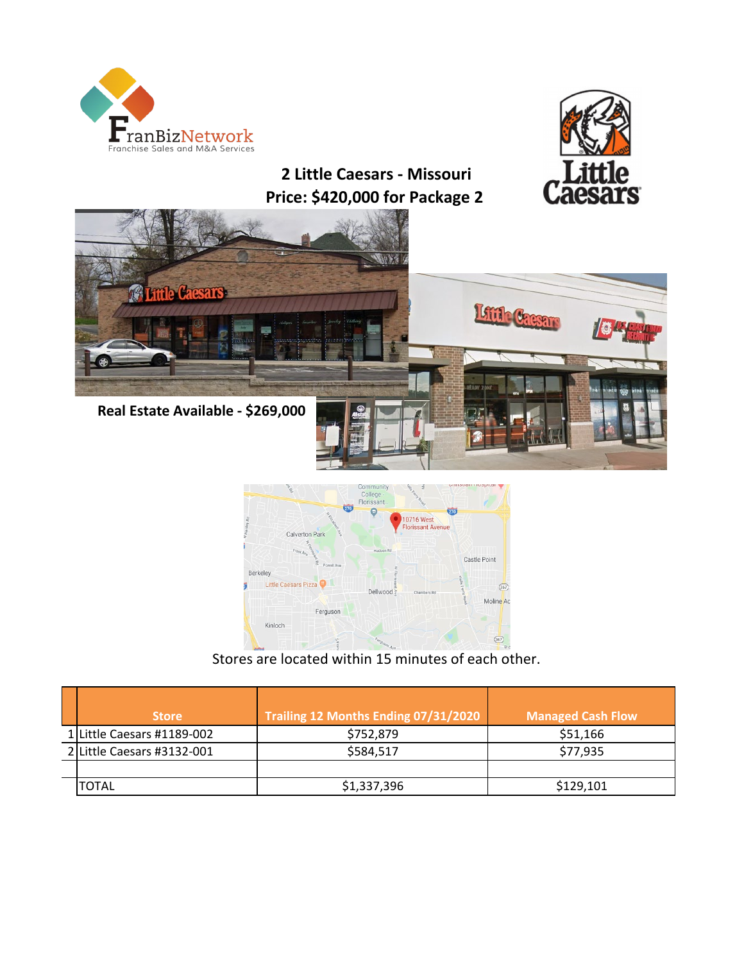



**2 Little Caesars - Missouri Price: \$420,000 for Package 2** 



 **Real Estate Available - \$269,000**



Stores are located within 15 minutes of each other.

| <b>Store</b>               | Trailing 12 Months Ending 07/31/2020 | <b>Managed Cash Flow</b> |
|----------------------------|--------------------------------------|--------------------------|
| 1 Little Caesars #1189-002 | \$752,879                            | \$51,166                 |
| 2 Little Caesars #3132-001 | \$584,517                            | \$77,935                 |
|                            |                                      |                          |
| TOTAL                      | \$1,337,396                          | \$129,101                |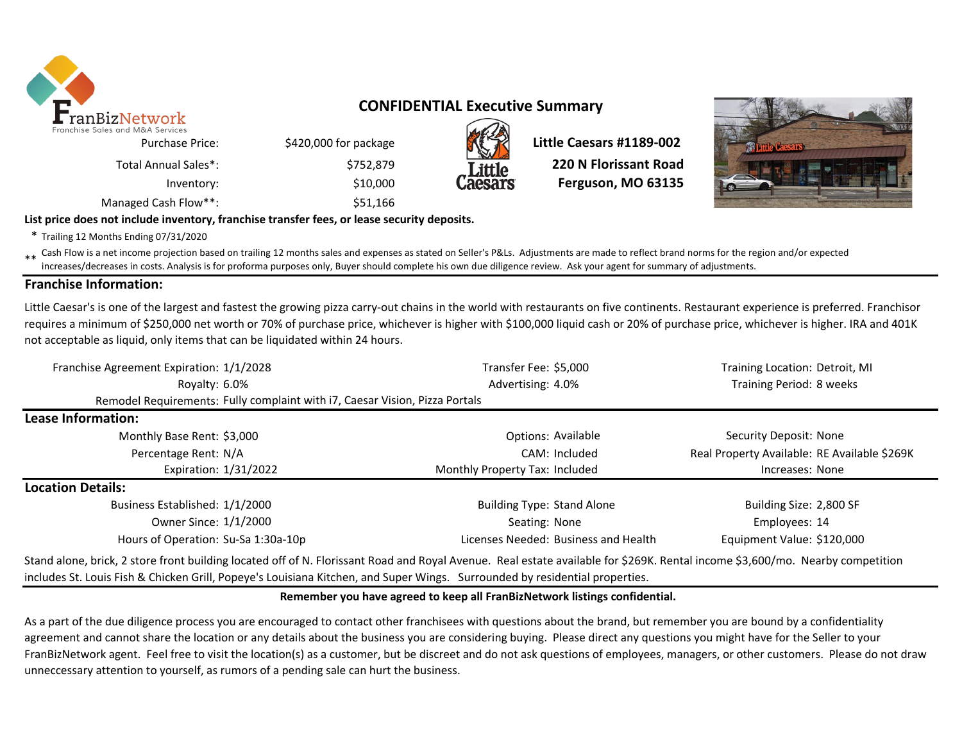

## **CONFIDENTIAL Executive Summary**



\$420,000 for package **Little Caesars #1189-002**  \$752,879 **220 N Florissant Road** Inventory: **Example 2018 Inventory:** \$10,000 **Caesars Ferguson, MO 63135** 



**List price does not include inventory, franchise transfer fees, or lease security deposits.**

\* Trailing 12 Months Ending 07/31/2020

Total Annual Sales\*:

\*\* Cash Flow is a net income projection based on trailing 12 months sales and expenses as stated on Seller's P&Ls. Adjustments are made to reflect brand norms for the region and/or expected<br>increases/decreases in costs. An increases/decreases in costs. Analysis is for proforma purposes only, Buyer should complete his own due diligence review. Ask your agent for summary of adjustments.

### **Franchise Information:**

Little Caesar's is one of the largest and fastest the growing pizza carry-out chains in the world with restaurants on five continents. Restaurant experience is preferred. Franchisor requires a minimum of \$250,000 net worth or 70% of purchase price, whichever is higher with \$100,000 liquid cash or 20% of purchase price, whichever is higher. IRA and 401K not acceptable as liquid, only items that can be liquidated within 24 hours.

| Franchise Agreement Expiration: 1/1/2028                                                                                                                                      | Transfer Fee: \$5,000                | Training Location: Detroit, MI               |
|-------------------------------------------------------------------------------------------------------------------------------------------------------------------------------|--------------------------------------|----------------------------------------------|
| Royalty: 6.0%                                                                                                                                                                 | Advertising: 4.0%                    | Training Period: 8 weeks                     |
| Remodel Requirements: Fully complaint with i7, Caesar Vision, Pizza Portals                                                                                                   |                                      |                                              |
| Lease Information:                                                                                                                                                            |                                      |                                              |
| Monthly Base Rent: \$3,000                                                                                                                                                    | Options: Available                   | Security Deposit: None                       |
| Percentage Rent: N/A                                                                                                                                                          | CAM: Included                        | Real Property Available: RE Available \$269K |
| Expiration: 1/31/2022                                                                                                                                                         | Monthly Property Tax: Included       | Increases: None                              |
| <b>Location Details:</b>                                                                                                                                                      |                                      |                                              |
| Business Established: 1/1/2000                                                                                                                                                | <b>Building Type: Stand Alone</b>    | Building Size: 2,800 SF                      |
| Owner Since: 1/1/2000                                                                                                                                                         | Seating: None                        | Employees: 14                                |
| Hours of Operation: Su-Sa 1:30a-10p                                                                                                                                           | Licenses Needed: Business and Health | Equipment Value: \$120,000                   |
| Stand alone, brick, 2 store front building located off of N. Florissant Road and Royal Avenue. Real estate available for \$269K. Rental income \$3,600/mo. Nearby competition |                                      |                                              |

includes St. Louis Fish & Chicken Grill, Popeye's Louisiana Kitchen, and Super Wings. Surrounded by residential properties.

### **Remember you have agreed to keep all FranBizNetwork listings confidential.**

As a part of the due diligence process you are encouraged to contact other franchisees with questions about the brand, but remember you are bound by a confidentiality agreement and cannot share the location or any details about the business you are considering buying. Please direct any questions you might have for the Seller to your FranBizNetwork agent. Feel free to visit the location(s) as a customer, but be discreet and do not ask questions of employees, managers, or other customers. Please do not draw unneccessary attention to yourself, as rumors of a pending sale can hurt the business.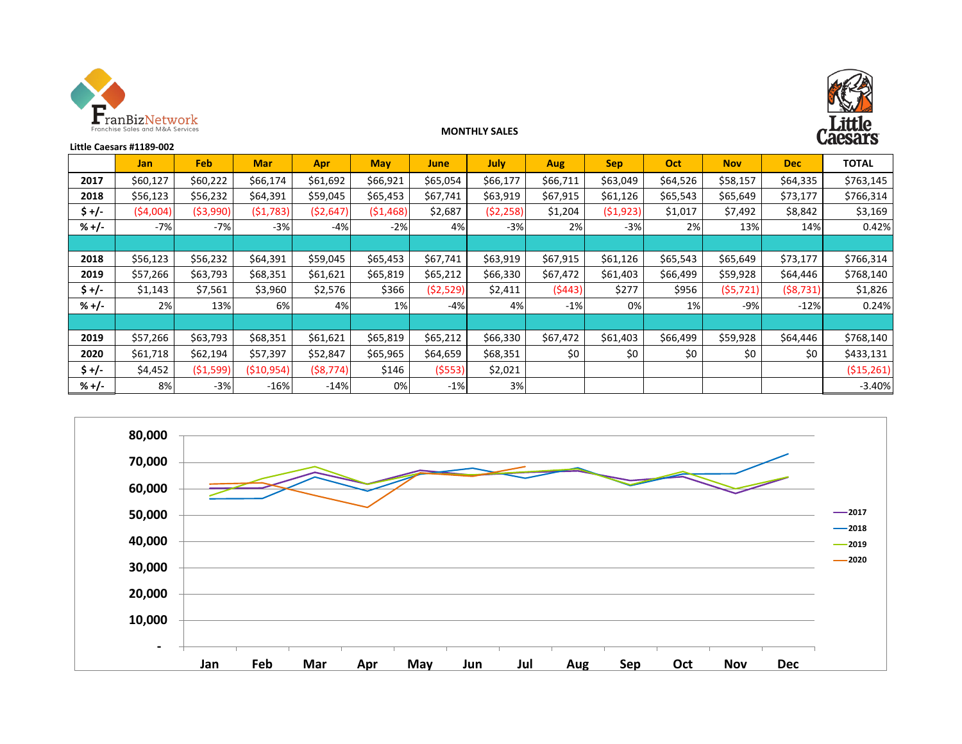



#### **MONTHLY SALES**

| <b>OCIC DELLI</b><br>Little Caesars #1189-002 |            |            |             |            |            |             |           |            |            |          |            |           |              |
|-----------------------------------------------|------------|------------|-------------|------------|------------|-------------|-----------|------------|------------|----------|------------|-----------|--------------|
|                                               | <b>Jan</b> | Feb.       | <b>Mar</b>  | <b>Apr</b> | <b>May</b> | <b>June</b> | July      | <b>Aug</b> | <b>Sep</b> | Oct      | <b>Nov</b> | Dec       | <b>TOTAL</b> |
| 2017                                          | \$60,127   | \$60,222   | \$66,174    | \$61,692   | \$66,921   | \$65,054    | \$66,177  | \$66,711   | \$63,049   | \$64,526 | \$58,157   | \$64,335  | \$763,145    |
| 2018                                          | \$56,123   | \$56,232   | \$64,391    | \$59,045   | \$65,453   | \$67,741    | \$63,919  | \$67,915   | \$61,126   | \$65,543 | \$65,649   | \$73,177  | \$766,314    |
| $5 +/-$                                       | (54,004)   | ( \$3,990) | (51,783)    | (52, 647)  | (51, 468)  | \$2,687     | (52, 258) | \$1,204    | (51, 923)  | \$1,017  | \$7,492    | \$8,842   | \$3,169      |
| $% +/-$                                       | $-7%$      | $-7%$      | $-3%$       | $-4%$      | $-2%$      | 4%          | $-3%$     | 2%         | $-3%$      | 2%       | 13%        | 14%       | 0.42%        |
|                                               |            |            |             |            |            |             |           |            |            |          |            |           |              |
| 2018                                          | \$56,123   | \$56,232   | \$64,391    | \$59,045   | \$65,453   | \$67,741    | \$63,919  | \$67,915   | \$61,126   | \$65,543 | \$65,649   | \$73,177  | \$766,314    |
| 2019                                          | \$57,266   | \$63,793   | \$68,351    | \$61,621   | \$65,819   | \$65,212    | \$66,330  | \$67,472   | \$61,403   | \$66,499 | \$59,928   | \$64,446  | \$768,140    |
| $$+/-$                                        | \$1,143    | \$7,561    | \$3,960     | \$2,576    | \$366      | (52, 529)   | \$2,411   | (5443)     | \$277      | \$956    | (55, 721)  | (58, 731) | \$1,826      |
| $% +/-$                                       | 2%         | 13%        | 6%          | 4%         | 1%         | $-4%$       | 4%        | $-1%$      | 0%         | 1%       | $-9%$      | $-12%$    | 0.24%        |
|                                               |            |            |             |            |            |             |           |            |            |          |            |           |              |
| 2019                                          | \$57,266   | \$63,793   | \$68,351    | \$61,621   | \$65,819   | \$65,212    | \$66,330  | \$67,472   | \$61,403   | \$66,499 | \$59,928   | \$64,446  | \$768,140    |
| 2020                                          | \$61,718   | \$62,194   | \$57,397    | \$52,847   | \$65,965   | \$64,659    | \$68,351  | \$0        | \$0        | \$0      | \$0        | \$0       | \$433,131    |
| \$+/-                                         | \$4,452    | (51,599)   | ( \$10,954) | (58, 774)  | \$146      | (5553)      | \$2,021   |            |            |          |            |           | (515, 261)   |
| $% +/-$                                       | 8%         | $-3%$      | $-16%$      | $-14%$     | 0%         | $-1%$       | 3%        |            |            |          |            |           | $-3.40%$     |

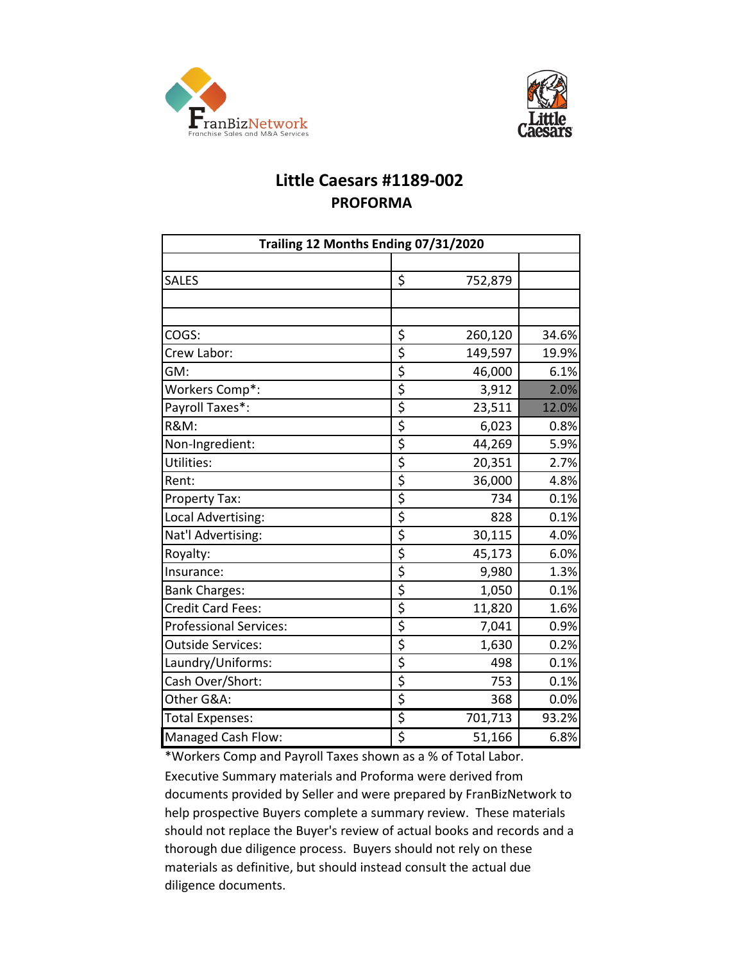



# **Little Caesars #1189-002 PROFORMA**

| Trailing 12 Months Ending 07/31/2020 |                                     |         |       |  |  |  |  |  |
|--------------------------------------|-------------------------------------|---------|-------|--|--|--|--|--|
|                                      |                                     |         |       |  |  |  |  |  |
| <b>SALES</b>                         | \$                                  | 752,879 |       |  |  |  |  |  |
|                                      |                                     |         |       |  |  |  |  |  |
|                                      |                                     |         |       |  |  |  |  |  |
| COGS:                                | \$                                  | 260,120 | 34.6% |  |  |  |  |  |
| Crew Labor:                          | \$                                  | 149,597 | 19.9% |  |  |  |  |  |
| GM:                                  | \$                                  | 46,000  | 6.1%  |  |  |  |  |  |
| Workers Comp*:                       | \$                                  | 3,912   | 2.0%  |  |  |  |  |  |
| Payroll Taxes*:                      | \$                                  | 23,511  | 12.0% |  |  |  |  |  |
| <b>R&amp;M:</b>                      | \$                                  | 6,023   | 0.8%  |  |  |  |  |  |
| Non-Ingredient:                      | $\overline{\xi}$                    | 44,269  | 5.9%  |  |  |  |  |  |
| Utilities:                           | \$                                  | 20,351  | 2.7%  |  |  |  |  |  |
| Rent:                                | \$                                  | 36,000  | 4.8%  |  |  |  |  |  |
| Property Tax:                        | \$                                  | 734     | 0.1%  |  |  |  |  |  |
| Local Advertising:                   | \$                                  | 828     | 0.1%  |  |  |  |  |  |
| Nat'l Advertising:                   | \$                                  | 30,115  | 4.0%  |  |  |  |  |  |
| Royalty:                             | $\overline{\boldsymbol{\varsigma}}$ | 45,173  | 6.0%  |  |  |  |  |  |
| Insurance:                           | \$                                  | 9,980   | 1.3%  |  |  |  |  |  |
| <b>Bank Charges:</b>                 | \$                                  | 1,050   | 0.1%  |  |  |  |  |  |
| <b>Credit Card Fees:</b>             | \$                                  | 11,820  | 1.6%  |  |  |  |  |  |
| <b>Professional Services:</b>        | $\overline{\boldsymbol{\varsigma}}$ | 7,041   | 0.9%  |  |  |  |  |  |
| <b>Outside Services:</b>             | \$                                  | 1,630   | 0.2%  |  |  |  |  |  |
| Laundry/Uniforms:                    | \$                                  | 498     | 0.1%  |  |  |  |  |  |
| Cash Over/Short:                     | \$                                  | 753     | 0.1%  |  |  |  |  |  |
| Other G&A:                           | \$                                  | 368     | 0.0%  |  |  |  |  |  |
| <b>Total Expenses:</b>               | \$                                  | 701,713 | 93.2% |  |  |  |  |  |
| <b>Managed Cash Flow:</b>            | \$                                  | 51,166  | 6.8%  |  |  |  |  |  |

\*Workers Comp and Payroll Taxes shown as a % of Total Labor. Executive Summary materials and Proforma were derived from documents provided by Seller and were prepared by FranBizNetwork to help prospective Buyers complete a summary review. These materials should not replace the Buyer's review of actual books and records and a thorough due diligence process. Buyers should not rely on these materials as definitive, but should instead consult the actual due diligence documents.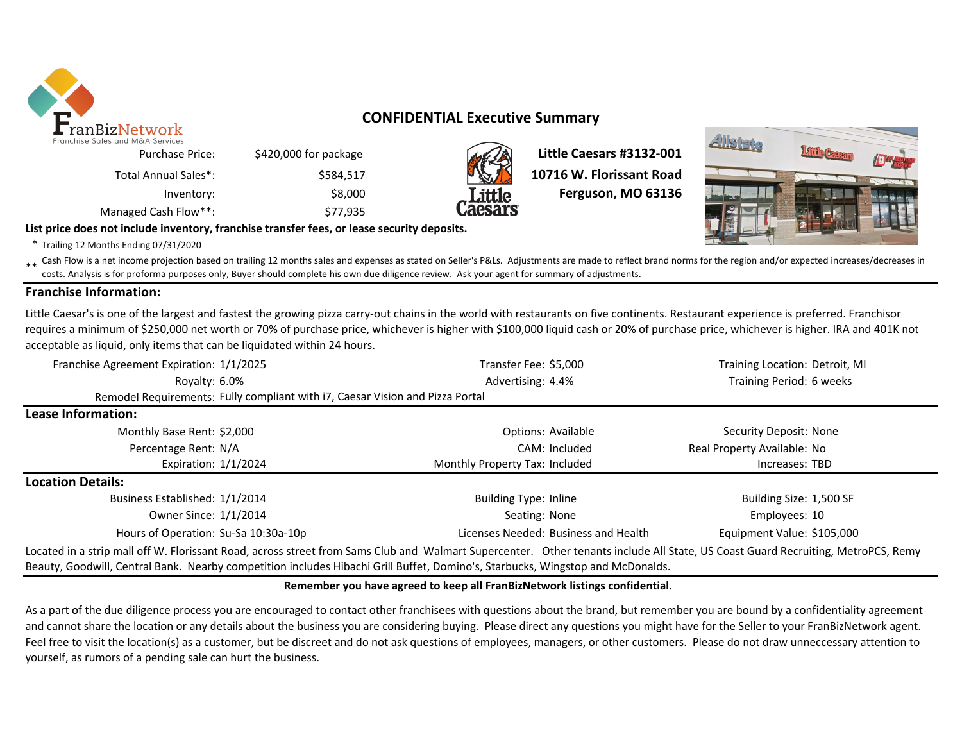

## **CONFIDENTIAL Executive Summary**



\$420,000 for package **Little Caesars #3132-001 10716 W. Florissant Road** Inventory: \$8,000 \$8,000 **Tittle** Ferguson, MO 63136



**List price does not include inventory, franchise transfer fees, or lease security deposits.**

Managed Cash Flow<sup>\*\*</sup>: \$77,935

\* Trailing 12 Months Ending 07/31/2020

\*\* Cash Flow is a net income projection based on trailing 12 months sales and expenses as stated on Seller's P&Ls. Adjustments are made to reflect brand norms for the region and/or expected increases/decreases in costs. Analysis is for proforma purposes only, Buyer should complete his own due diligence review. Ask your agent for summary of adjustments.

### **Franchise Information:**

Little Caesar's is one of the largest and fastest the growing pizza carry-out chains in the world with restaurants on five continents. Restaurant experience is preferred. Franchisor requires a minimum of \$250,000 net worth or 70% of purchase price, whichever is higher with \$100,000 liquid cash or 20% of purchase price, whichever is higher. IRA and 401K not acceptable as liquid, only items that can be liquidated within 24 hours.

| Franchise Agreement Expiration: 1/1/2025                                                                                                                                         | Transfer Fee: \$5,000                | Training Location: Detroit, MI |
|----------------------------------------------------------------------------------------------------------------------------------------------------------------------------------|--------------------------------------|--------------------------------|
| Rovalty: 6.0%                                                                                                                                                                    | Advertising: 4.4%                    | Training Period: 6 weeks       |
| Remodel Requirements: Fully compliant with i7, Caesar Vision and Pizza Portal                                                                                                    |                                      |                                |
| Lease Information:                                                                                                                                                               |                                      |                                |
| Monthly Base Rent: \$2,000                                                                                                                                                       | Options: Available                   | Security Deposit: None         |
| Percentage Rent: N/A                                                                                                                                                             | CAM: Included                        | Real Property Available: No    |
| Expiration: $1/1/2024$                                                                                                                                                           | Monthly Property Tax: Included       | Increases: TBD                 |
| <b>Location Details:</b>                                                                                                                                                         |                                      |                                |
| Business Established: 1/1/2014                                                                                                                                                   | Building Type: Inline                | Building Size: 1,500 SF        |
| Owner Since: 1/1/2014                                                                                                                                                            | Seating: None                        | Employees: 10                  |
| Hours of Operation: Su-Sa 10:30a-10p                                                                                                                                             | Licenses Needed: Business and Health | Equipment Value: \$105,000     |
| Located in a strip mall off W. Florissant Road, across street from Sams Club and Walmart Supercenter. Other tenants include All State, US Coast Guard Recruiting, MetroPCS, Remy |                                      |                                |
| Beauty, Goodwill, Central Bank. Nearby competition includes Hibachi Grill Buffet, Domino's, Starbucks, Wingstop and McDonalds.                                                   |                                      |                                |

### **Remember you have agreed to keep all FranBizNetwork listings confidential.**

As a part of the due diligence process you are encouraged to contact other franchisees with questions about the brand, but remember you are bound by a confidentiality agreement and cannot share the location or any details about the business you are considering buying. Please direct any questions you might have for the Seller to your FranBizNetwork agent. Feel free to visit the location(s) as a customer, but be discreet and do not ask questions of employees, managers, or other customers. Please do not draw unneccessary attention to yourself, as rumors of a pending sale can hurt the business.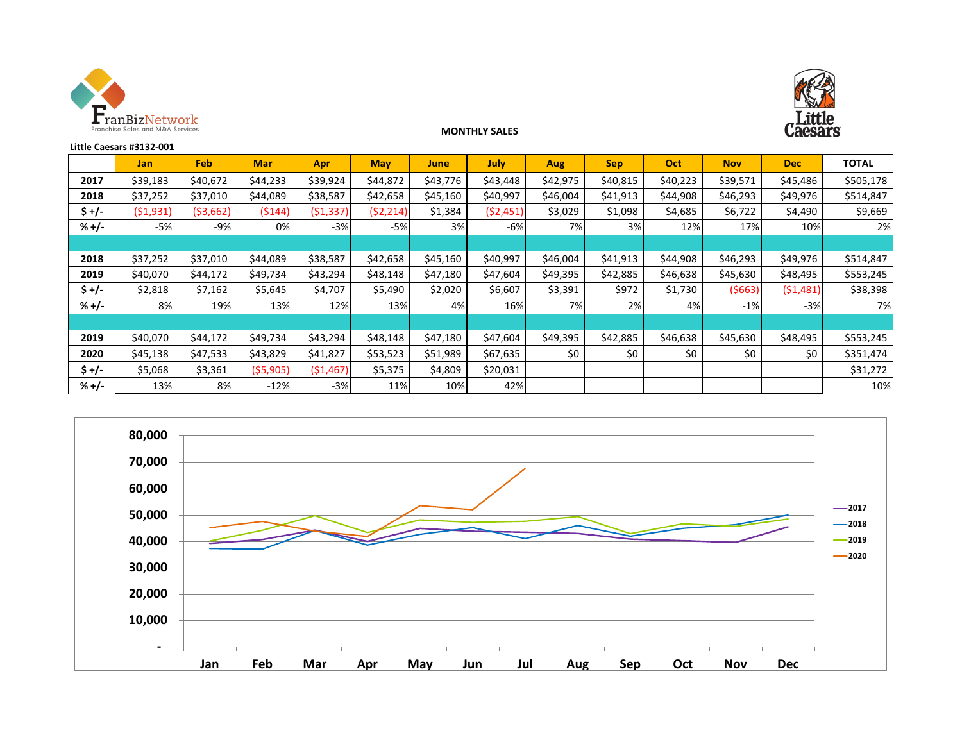



### **MONTHLY SALES**

| Little Caesars #3132-001 |            |            |            |            |            |             |             |          |            |          |            |            |              |
|--------------------------|------------|------------|------------|------------|------------|-------------|-------------|----------|------------|----------|------------|------------|--------------|
|                          | <b>Jan</b> | <b>Feb</b> | <b>Mar</b> | <b>Apr</b> | <b>May</b> | <b>June</b> | <b>July</b> | Aug      | <b>Sep</b> | Oct      | <b>Nov</b> | <b>Dec</b> | <b>TOTAL</b> |
| 2017                     | \$39,183   | \$40,672   | \$44,233   | \$39,924   | \$44,872   | \$43,776    | \$43,448    | \$42,975 | \$40,815   | \$40,223 | \$39,571   | \$45,486   | \$505,178    |
| 2018                     | \$37,252   | \$37,010   | \$44,089   | \$38,587   | \$42,658   | \$45,160    | \$40,997    | \$46,004 | \$41,913   | \$44,908 | \$46,293   | \$49,976   | \$514,847    |
| \$+/-                    | (51,931)   | (\$3,662)  | (5144)     | (51, 337)  | (52, 214)  | \$1,384     | (52, 451)   | \$3,029  | \$1,098    | \$4,685  | \$6,722    | \$4,490    | \$9,669      |
| $% +/-$                  | $-5%$      | $-9%$      | 0%         | $-3%$      | -5%        | 3%          | $-6%$       | 7%       | 3%         | 12%      | 17%        | 10%        | 2%           |
|                          |            |            |            |            |            |             |             |          |            |          |            |            |              |
| 2018                     | \$37,252   | \$37,010   | \$44,089   | \$38,587   | \$42,658   | \$45,160    | \$40,997    | \$46,004 | \$41,913   | \$44,908 | \$46,293   | \$49,976   | \$514,847    |
| 2019                     | \$40,070   | \$44,172   | \$49,734   | \$43,294   | \$48,148   | \$47,180    | \$47,604    | \$49,395 | \$42,885   | \$46,638 | \$45,630   | \$48,495   | \$553,245    |
| \$+/-                    | \$2,818    | \$7,162    | \$5,645    | \$4,707    | \$5,490    | \$2,020     | \$6,607     | \$3,391  | \$972      | \$1,730  | (5663)     | (51, 481)  | \$38,398     |
| $% +/-$                  | 8%         | 19%        | 13%        | 12%        | 13%        | 4%          | 16%         | 7%       | 2%         | 4%       | $-1%$      | $-3%$      | 7%           |
|                          |            |            |            |            |            |             |             |          |            |          |            |            |              |
| 2019                     | \$40,070   | \$44,172   | \$49,734   | \$43,294   | \$48,148   | \$47,180    | \$47,604    | \$49,395 | \$42,885   | \$46,638 | \$45,630   | \$48,495   | \$553,245    |
| 2020                     | \$45,138   | \$47,533   | \$43,829   | \$41,827   | \$53,523   | \$51,989    | \$67,635    | \$0      | \$0        | \$0      | \$0        | \$0        | \$351,474    |
| $5 +/-$                  | \$5,068    | \$3,361    | ( \$5,905) | (51, 467)  | \$5,375    | \$4,809     | \$20,031    |          |            |          |            |            | \$31,272     |
| $% +/-$                  | 13%        | 8%         | $-12%$     | $-3%$      | 11%        | 10%         | 42%         |          |            |          |            |            | 10%          |